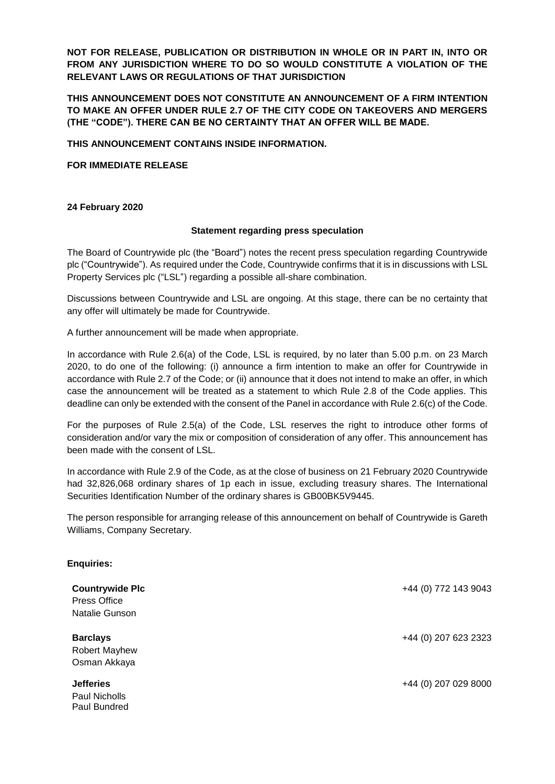**NOT FOR RELEASE, PUBLICATION OR DISTRIBUTION IN WHOLE OR IN PART IN, INTO OR FROM ANY JURISDICTION WHERE TO DO SO WOULD CONSTITUTE A VIOLATION OF THE RELEVANT LAWS OR REGULATIONS OF THAT JURISDICTION** 

**THIS ANNOUNCEMENT DOES NOT CONSTITUTE AN ANNOUNCEMENT OF A FIRM INTENTION TO MAKE AN OFFER UNDER RULE 2.7 OF THE CITY CODE ON TAKEOVERS AND MERGERS (THE "CODE"). THERE CAN BE NO CERTAINTY THAT AN OFFER WILL BE MADE.** 

**THIS ANNOUNCEMENT CONTAINS INSIDE INFORMATION.**

**FOR IMMEDIATE RELEASE**

## **24 February 2020**

**Enquiries:** 

## **Statement regarding press speculation**

The Board of Countrywide plc (the "Board") notes the recent press speculation regarding Countrywide plc ("Countrywide"). As required under the Code, Countrywide confirms that it is in discussions with LSL Property Services plc ("LSL") regarding a possible all-share combination.

Discussions between Countrywide and LSL are ongoing. At this stage, there can be no certainty that any offer will ultimately be made for Countrywide.

A further announcement will be made when appropriate.

In accordance with Rule 2.6(a) of the Code, LSL is required, by no later than 5.00 p.m. on 23 March 2020, to do one of the following: (i) announce a firm intention to make an offer for Countrywide in accordance with Rule 2.7 of the Code; or (ii) announce that it does not intend to make an offer, in which case the announcement will be treated as a statement to which Rule 2.8 of the Code applies. This deadline can only be extended with the consent of the Panel in accordance with Rule 2.6(c) of the Code.

For the purposes of Rule 2.5(a) of the Code, LSL reserves the right to introduce other forms of consideration and/or vary the mix or composition of consideration of any offer. This announcement has been made with the consent of LSL.

In accordance with Rule 2.9 of the Code, as at the close of business on 21 February 2020 Countrywide had 32,826,068 ordinary shares of 1p each in issue, excluding treasury shares. The International Securities Identification Number of the ordinary shares is GB00BK5V9445.

The person responsible for arranging release of this announcement on behalf of Countrywide is Gareth Williams, Company Secretary.

| <b>Countrywide Plc</b><br><b>Press Office</b><br>Natalie Gunson | +44 (0) 772 143 9043 |
|-----------------------------------------------------------------|----------------------|
| <b>Barclays</b><br>Robert Mayhew<br>Osman Akkaya                | +44 (0) 207 623 2323 |
| <b>Jefferies</b><br>Paul Nicholls<br>Paul Bundred               | +44 (0) 207 029 8000 |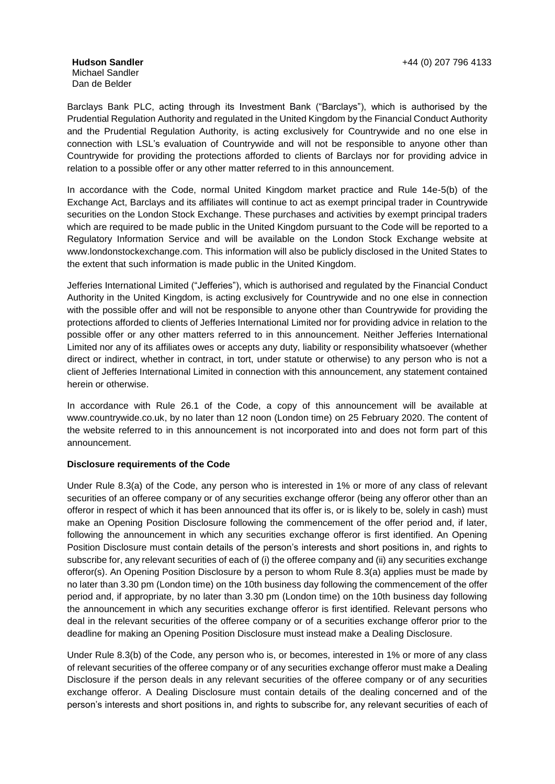Michael Sandler Dan de Belder

Barclays Bank PLC, acting through its Investment Bank ("Barclays"), which is authorised by the Prudential Regulation Authority and regulated in the United Kingdom by the Financial Conduct Authority and the Prudential Regulation Authority, is acting exclusively for Countrywide and no one else in connection with LSL's evaluation of Countrywide and will not be responsible to anyone other than Countrywide for providing the protections afforded to clients of Barclays nor for providing advice in relation to a possible offer or any other matter referred to in this announcement.

In accordance with the Code, normal United Kingdom market practice and Rule 14e-5(b) of the Exchange Act, Barclays and its affiliates will continue to act as exempt principal trader in Countrywide securities on the London Stock Exchange. These purchases and activities by exempt principal traders which are required to be made public in the United Kingdom pursuant to the Code will be reported to a Regulatory Information Service and will be available on the London Stock Exchange website at www.londonstockexchange.com. This information will also be publicly disclosed in the United States to the extent that such information is made public in the United Kingdom.

Jefferies International Limited ("Jefferies"), which is authorised and regulated by the Financial Conduct Authority in the United Kingdom, is acting exclusively for Countrywide and no one else in connection with the possible offer and will not be responsible to anyone other than Countrywide for providing the protections afforded to clients of Jefferies International Limited nor for providing advice in relation to the possible offer or any other matters referred to in this announcement. Neither Jefferies International Limited nor any of its affiliates owes or accepts any duty, liability or responsibility whatsoever (whether direct or indirect, whether in contract, in tort, under statute or otherwise) to any person who is not a client of Jefferies International Limited in connection with this announcement, any statement contained herein or otherwise.

In accordance with Rule 26.1 of the Code, a copy of this announcement will be available at www.countrywide.co.uk, by no later than 12 noon (London time) on 25 February 2020. The content of the website referred to in this announcement is not incorporated into and does not form part of this announcement.

## **Disclosure requirements of the Code**

Under Rule 8.3(a) of the Code, any person who is interested in 1% or more of any class of relevant securities of an offeree company or of any securities exchange offeror (being any offeror other than an offeror in respect of which it has been announced that its offer is, or is likely to be, solely in cash) must make an Opening Position Disclosure following the commencement of the offer period and, if later, following the announcement in which any securities exchange offeror is first identified. An Opening Position Disclosure must contain details of the person's interests and short positions in, and rights to subscribe for, any relevant securities of each of (i) the offeree company and (ii) any securities exchange offeror(s). An Opening Position Disclosure by a person to whom Rule 8.3(a) applies must be made by no later than 3.30 pm (London time) on the 10th business day following the commencement of the offer period and, if appropriate, by no later than 3.30 pm (London time) on the 10th business day following the announcement in which any securities exchange offeror is first identified. Relevant persons who deal in the relevant securities of the offeree company or of a securities exchange offeror prior to the deadline for making an Opening Position Disclosure must instead make a Dealing Disclosure.

Under Rule 8.3(b) of the Code, any person who is, or becomes, interested in 1% or more of any class of relevant securities of the offeree company or of any securities exchange offeror must make a Dealing Disclosure if the person deals in any relevant securities of the offeree company or of any securities exchange offeror. A Dealing Disclosure must contain details of the dealing concerned and of the person's interests and short positions in, and rights to subscribe for, any relevant securities of each of